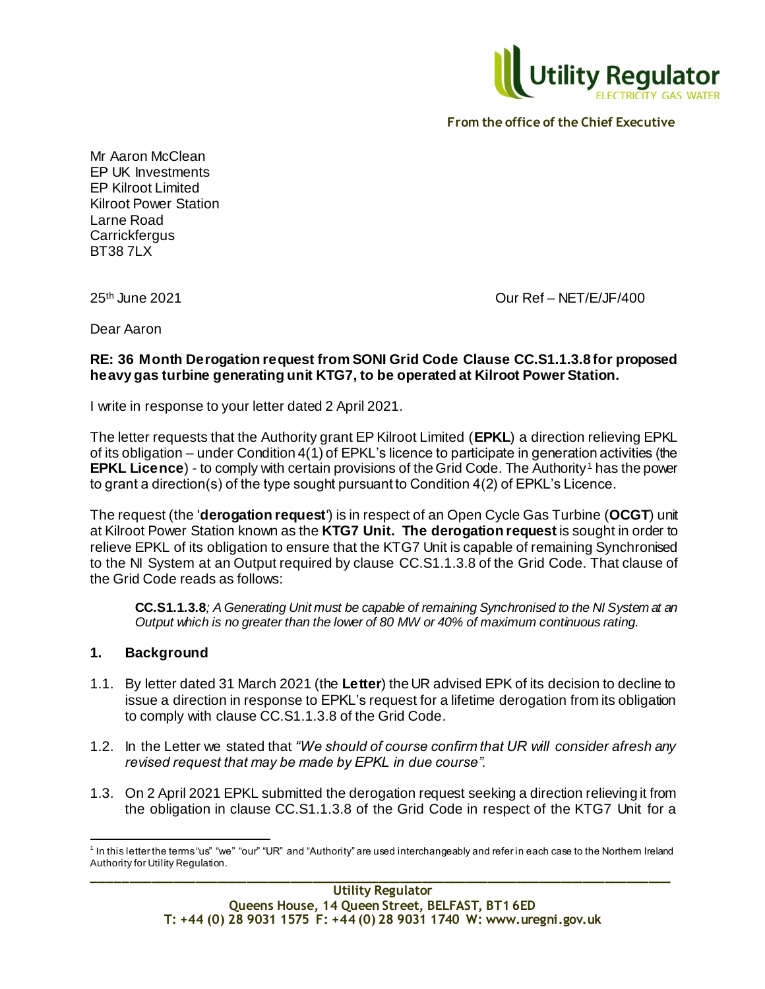

Mr Aaron McClean EP UK Investments EP Kilroot Limited Kilroot Power Station Larne Road **Carrickfergus** BT38 7LX

25th June 2021 Our Ref – NET/E/JF/400

Dear Aaron

## **RE: 36 Month Derogation request from SONI Grid Code Clause CC.S1.1.3.8 for proposed heavy gas turbine generating unit KTG7, to be operated at Kilroot Power Station.**

I write in response to your letter dated 2 April 2021.

The letter requests that the Authority grant EP Kilroot Limited (**EPKL**) a direction relieving EPKL of its obligation – under Condition 4(1) of EPKL's licence to participate in generation activities (the **EPKL Licence**) - to comply with certain provisions of the Grid Code. The Authority<sup>1</sup> has the power to grant a direction(s) of the type sought pursuant to Condition 4(2) of EPKL's Licence.

The request (the '**derogation request**') is in respect of an Open Cycle Gas Turbine (**OCGT**) unit at Kilroot Power Station known as the **KTG7 Unit. The derogation request** is sought in order to relieve EPKL of its obligation to ensure that the KTG7 Unit is capable of remaining Synchronised to the NI System at an Output required by clause CC.S1.1.3.8 of the Grid Code. That clause of the Grid Code reads as follows:

**CC.S1.1.3.8***; A Generating Unit must be capable of remaining Synchronised to the NI System at an Output which is no greater than the lower of 80 MW or 40% of maximum continuous rating.* 

# **1. Background**

- 1.1. By letter dated 31 March 2021 (the **Letter**) the UR advised EPK of its decision to decline to issue a direction in response to EPKL's request for a lifetime derogation from its obligation to comply with clause CC.S1.1.3.8 of the Grid Code.
- 1.2. In the Letter we stated that *"We should of course confirm that UR will consider afresh any revised request that may be made by EPKL in due course".*
- 1.3. On 2 April 2021 EPKL submitted the derogation request seeking a direction relieving it from the obligation in clause CC.S1.1.3.8 of the Grid Code in respect of the KTG7 Unit for a

**\_\_\_\_\_\_\_\_\_\_\_\_\_\_\_\_\_\_\_\_\_\_\_\_\_\_\_\_\_\_\_\_\_\_\_\_\_\_\_\_\_\_\_\_\_\_\_\_\_\_\_\_\_\_\_\_\_\_\_\_\_\_\_\_\_\_\_\_\_\_\_\_\_\_\_\_\_\_\_** l  $^1$  In this letter the terms "us" "we" "our" "UR" and "Authority" are used interchangeably and refer in each case to the Northern Ireland Authority for Utility Regulation.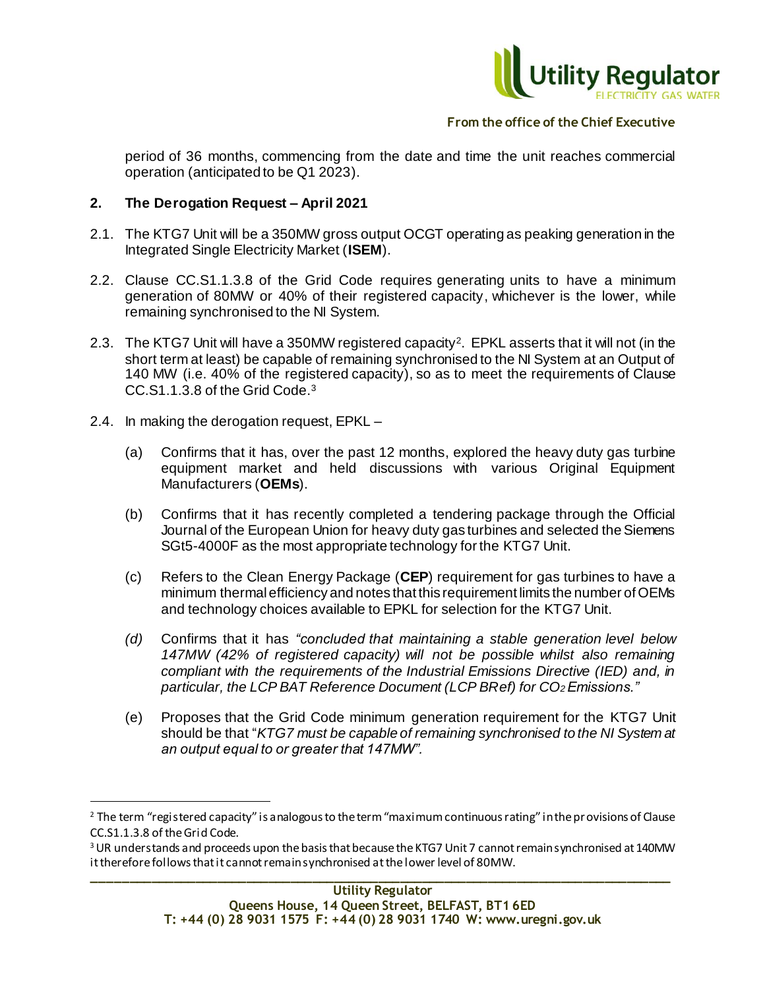

period of 36 months, commencing from the date and time the unit reaches commercial operation (anticipated to be Q1 2023).

## **2. The Derogation Request – April 2021**

- 2.1. The KTG7 Unit will be a 350MW gross output OCGT operating as peaking generation in the Integrated Single Electricity Market (**ISEM**).
- 2.2. Clause CC.S1.1.3.8 of the Grid Code requires generating units to have a minimum generation of 80MW or 40% of their registered capacity, whichever is the lower, while remaining synchronised to the NI System.
- 2.3. The KTG7 Unit will have a 350MW registered capacity<sup>2</sup> . EPKL asserts that it will not (in the short term at least) be capable of remaining synchronised to the NI System at an Output of 140 MW (i.e. 40% of the registered capacity), so as to meet the requirements of Clause CC.S1.1.3.8 of the Grid Code.<sup>3</sup>
- 2.4. In making the derogation request, EPKL –

l

- (a) Confirms that it has, over the past 12 months, explored the heavy duty gas turbine equipment market and held discussions with various Original Equipment Manufacturers (**OEMs**).
- (b) Confirms that it has recently completed a tendering package through the Official Journal of the European Union for heavy duty gas turbines and selected the Siemens SGt5-4000F as the most appropriate technology for the KTG7 Unit.
- (c) Refers to the Clean Energy Package (**CEP**) requirement for gas turbines to have a minimum thermal efficiency and notes that this requirement limits the number of OEMs and technology choices available to EPKL for selection for the KTG7 Unit.
- *(d)* Confirms that it has *"concluded that maintaining a stable generation level below 147MW (42% of registered capacity) will not be possible whilst also remaining compliant with the requirements of the Industrial Emissions Directive (IED) and, in particular, the LCP BAT Reference Document (LCP BRef) for CO2 Emissions."*
- (e) Proposes that the Grid Code minimum generation requirement for the KTG7 Unit should be that "*KTG7 must be capable of remaining synchronised to the NI System at an output equal to or greater that 147MW".*

<sup>&</sup>lt;sup>2</sup> The term "registered capacity" is analogous to the term "maximum continuous rating" in the provisions of Clause CC.S1.1.3.8 of the Grid Code.

<sup>&</sup>lt;sup>3</sup> UR understands and proceeds upon the basis that because the KTG7 Unit 7 cannot remain synchronised at 140MW it therefore follows that it cannot remain synchronised at the lower level of 80MW.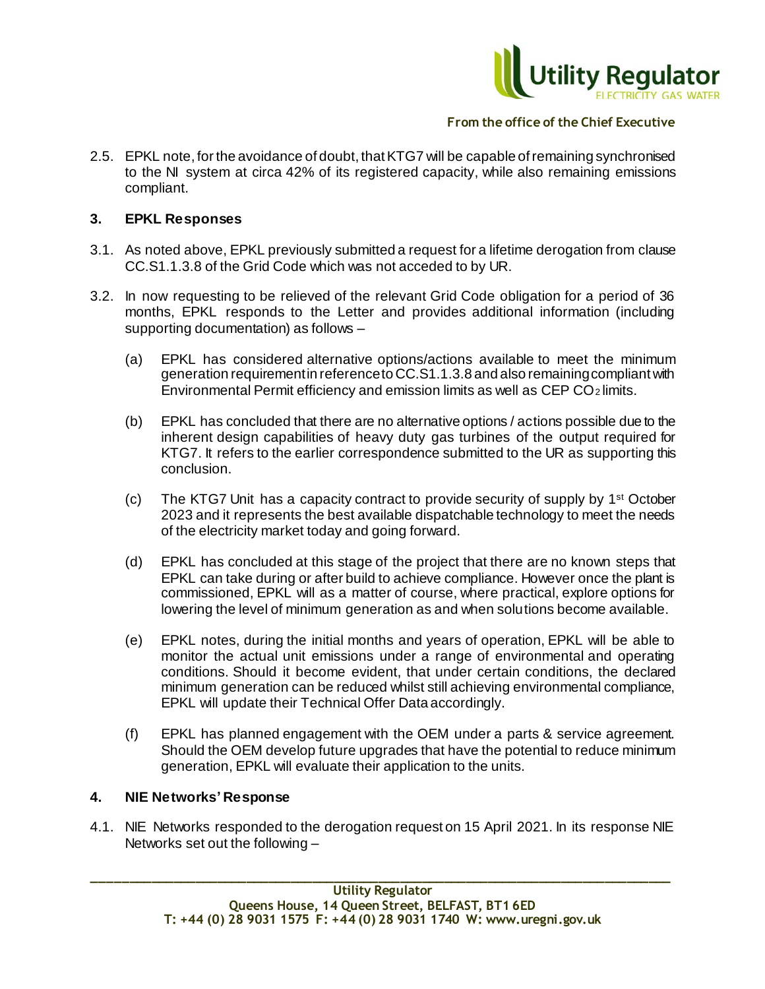

2.5. EPKL note, for the avoidance of doubt, that KTG7 will be capable of remaining synchronised to the NI system at circa 42% of its registered capacity, while also remaining emissions compliant.

### **3. EPKL Responses**

- 3.1. As noted above, EPKL previously submitted a request for a lifetime derogation from clause CC.S1.1.3.8 of the Grid Code which was not acceded to by UR.
- 3.2. In now requesting to be relieved of the relevant Grid Code obligation for a period of 36 months, EPKL responds to the Letter and provides additional information (including supporting documentation) as follows –
	- (a) EPKL has considered alternative options/actions available to meet the minimum generation requirement in reference to CC.S1.1.3.8 and also remaining compliant with Environmental Permit efficiency and emission limits as well as CEP CO2 limits.
	- (b) EPKL has concluded that there are no alternative options / actions possible due to the inherent design capabilities of heavy duty gas turbines of the output required for KTG7. It refers to the earlier correspondence submitted to the UR as supporting this conclusion.
	- (c) The KTG7 Unit has a capacity contract to provide security of supply by 1<sup>st</sup> October 2023 and it represents the best available dispatchable technology to meet the needs of the electricity market today and going forward.
	- (d) EPKL has concluded at this stage of the project that there are no known steps that EPKL can take during or after build to achieve compliance. However once the plant is commissioned, EPKL will as a matter of course, where practical, explore options for lowering the level of minimum generation as and when solutions become available.
	- (e) EPKL notes, during the initial months and years of operation, EPKL will be able to monitor the actual unit emissions under a range of environmental and operating conditions. Should it become evident, that under certain conditions, the declared minimum generation can be reduced whilst still achieving environmental compliance, EPKL will update their Technical Offer Data accordingly.
	- (f) EPKL has planned engagement with the OEM under a parts & service agreement. Should the OEM develop future upgrades that have the potential to reduce minimum generation, EPKL will evaluate their application to the units.

### **4. NIE Networks' Response**

4.1. NIE Networks responded to the derogation request on 15 April 2021. In its response NIE Networks set out the following –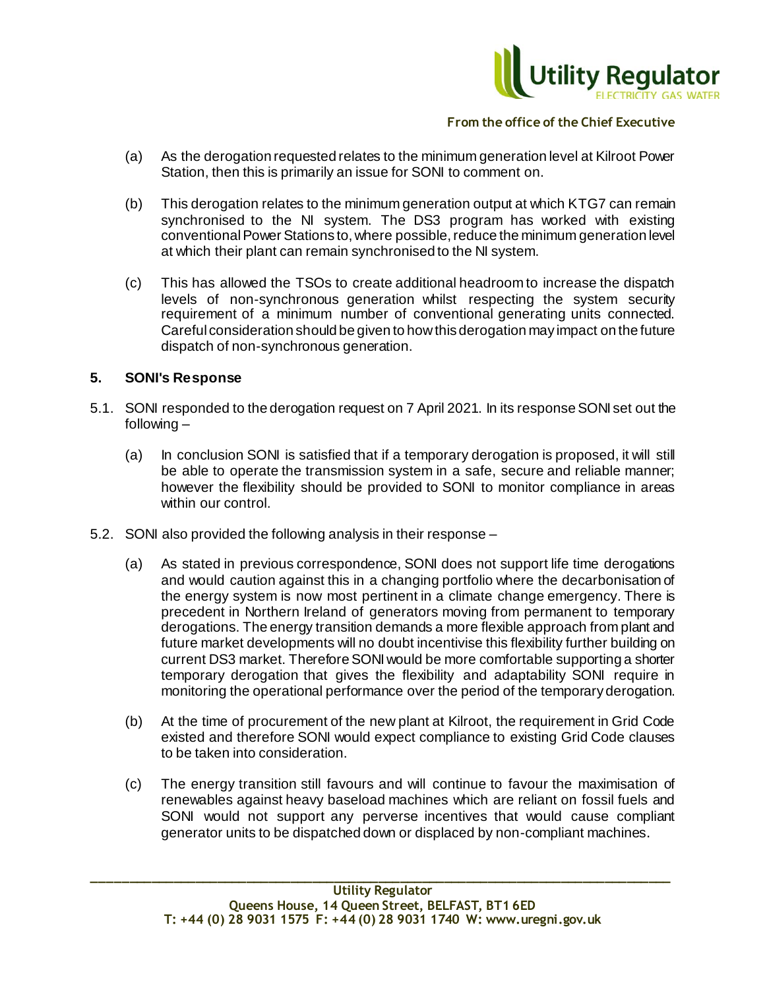

- (a) As the derogation requested relates to the minimum generation level at Kilroot Power Station, then this is primarily an issue for SONI to comment on.
- (b) This derogation relates to the minimum generation output at which KTG7 can remain synchronised to the NI system. The DS3 program has worked with existing conventional Power Stations to, where possible, reduce the minimum generation level at which their plant can remain synchronised to the NI system.
- (c) This has allowed the TSOs to create additional headroom to increase the dispatch levels of non-synchronous generation whilst respecting the system security requirement of a minimum number of conventional generating units connected. Careful consideration should be given to how this derogation may impact on the future dispatch of non-synchronous generation.

### **5. SONI's Response**

- 5.1. SONI responded to the derogation request on 7 April 2021. In its response SONI set out the following –
	- (a) In conclusion SONI is satisfied that if a temporary derogation is proposed, it will still be able to operate the transmission system in a safe, secure and reliable manner; however the flexibility should be provided to SONI to monitor compliance in areas within our control.
- 5.2. SONI also provided the following analysis in their response
	- (a) As stated in previous correspondence, SONI does not support life time derogations and would caution against this in a changing portfolio where the decarbonisation of the energy system is now most pertinent in a climate change emergency. There is precedent in Northern Ireland of generators moving from permanent to temporary derogations. The energy transition demands a more flexible approach from plant and future market developments will no doubt incentivise this flexibility further building on current DS3 market. Therefore SONI would be more comfortable supporting a shorter temporary derogation that gives the flexibility and adaptability SONI require in monitoring the operational performance over the period of the temporary derogation.
	- (b) At the time of procurement of the new plant at Kilroot, the requirement in Grid Code existed and therefore SONI would expect compliance to existing Grid Code clauses to be taken into consideration.
	- (c) The energy transition still favours and will continue to favour the maximisation of renewables against heavy baseload machines which are reliant on fossil fuels and SONI would not support any perverse incentives that would cause compliant generator units to be dispatched down or displaced by non-compliant machines.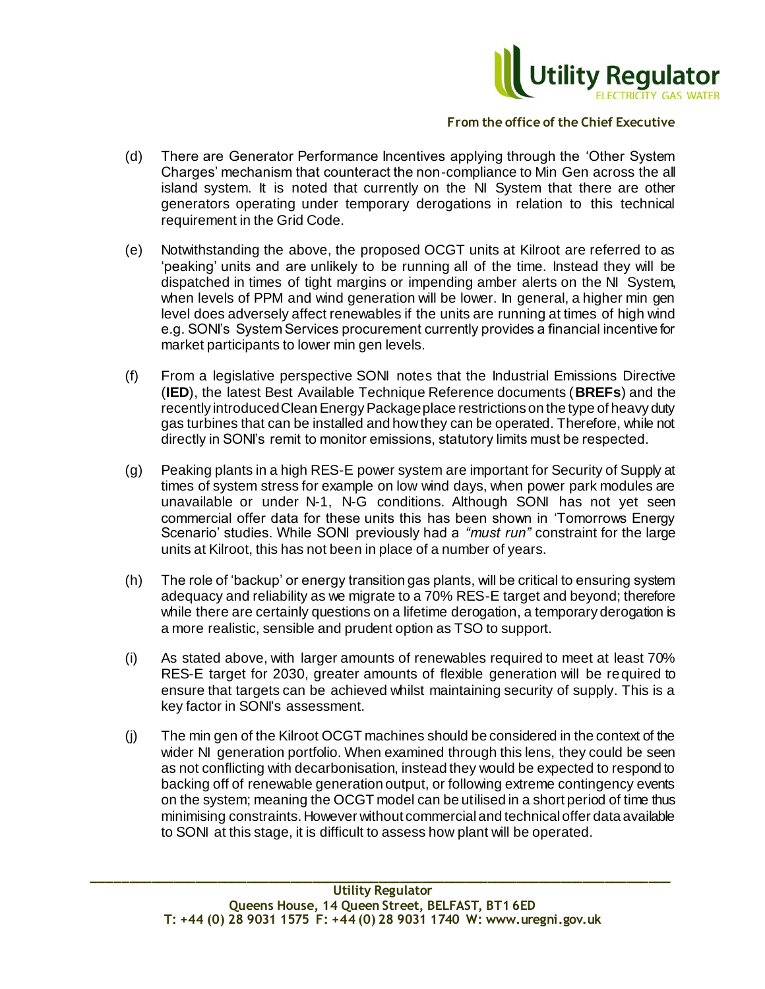

- (d) There are Generator Performance Incentives applying through the 'Other System Charges' mechanism that counteract the non-compliance to Min Gen across the all island system. It is noted that currently on the NI System that there are other generators operating under temporary derogations in relation to this technical requirement in the Grid Code.
- (e) Notwithstanding the above, the proposed OCGT units at Kilroot are referred to as 'peaking' units and are unlikely to be running all of the time. Instead they will be dispatched in times of tight margins or impending amber alerts on the NI System, when levels of PPM and wind generation will be lower. In general, a higher min gen level does adversely affect renewables if the units are running at times of high wind e.g. SONI's System Services procurement currently provides a financial incentive for market participants to lower min gen levels.
- (f) From a legislative perspective SONI notes that the Industrial Emissions Directive (**IED**), the latest Best Available Technique Reference documents (**BREFs**) and the recently introduced Clean Energy Package place restrictions on the type of heavy duty gas turbines that can be installed and how they can be operated. Therefore, while not directly in SONI's remit to monitor emissions, statutory limits must be respected.
- (g) Peaking plants in a high RES-E power system are important for Security of Supply at times of system stress for example on low wind days, when power park modules are unavailable or under N-1, N-G conditions. Although SONI has not yet seen commercial offer data for these units this has been shown in 'Tomorrows Energy Scenario' studies. While SONI previously had a *"must run"* constraint for the large units at Kilroot, this has not been in place of a number of years.
- (h) The role of 'backup' or energy transition gas plants, will be critical to ensuring system adequacy and reliability as we migrate to a 70% RES-E target and beyond; therefore while there are certainly questions on a lifetime derogation, a temporary derogation is a more realistic, sensible and prudent option as TSO to support.
- (i) As stated above, with larger amounts of renewables required to meet at least 70% RES-E target for 2030, greater amounts of flexible generation will be required to ensure that targets can be achieved whilst maintaining security of supply. This is a key factor in SONI's assessment.
- (j) The min gen of the Kilroot OCGT machines should be considered in the context of the wider NI generation portfolio. When examined through this lens, they could be seen as not conflicting with decarbonisation, instead they would be expected to respond to backing off of renewable generation output, or following extreme contingency events on the system; meaning the OCGT model can be utilised in a short period of time thus minimising constraints. However without commercial and technical offer data available to SONI at this stage, it is difficult to assess how plant will be operated.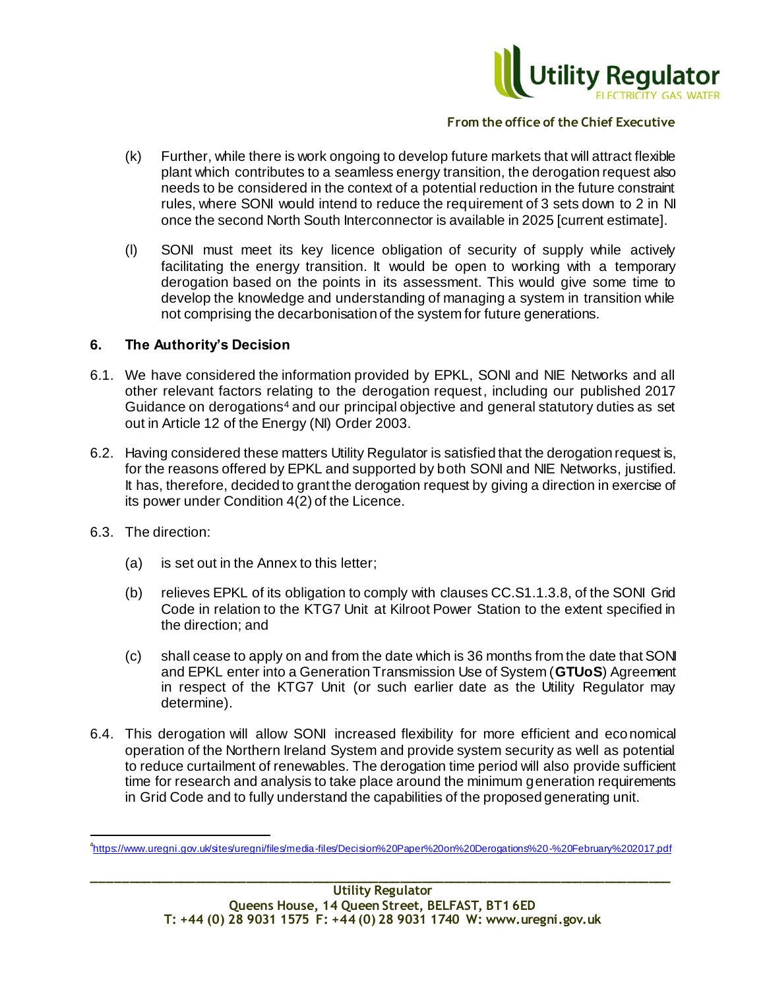

- (k) Further, while there is work ongoing to develop future markets that will attract flexible plant which contributes to a seamless energy transition, the derogation request also needs to be considered in the context of a potential reduction in the future constraint rules, where SONI would intend to reduce the requirement of 3 sets down to 2 in NI once the second North South Interconnector is available in 2025 [current estimate].
- (l) SONI must meet its key licence obligation of security of supply while actively facilitating the energy transition. It would be open to working with a temporary derogation based on the points in its assessment. This would give some time to develop the knowledge and understanding of managing a system in transition while not comprising the decarbonisation of the system for future generations.

#### **6. The Authority's Decision**

- 6.1. We have considered the information provided by EPKL, SONI and NIE Networks and all other relevant factors relating to the derogation request, including our published 2017 Guidance on derogations<sup>4</sup> and our principal objective and general statutory duties as set out in Article 12 of the Energy (NI) Order 2003.
- 6.2. Having considered these matters Utility Regulator is satisfied that the derogation request is, for the reasons offered by EPKL and supported by both SONI and NIE Networks, justified. It has, therefore, decided to grant the derogation request by giving a direction in exercise of its power under Condition 4(2) of the Licence.
- 6.3. The direction:

j

- (a) is set out in the Annex to this letter;
- (b) relieves EPKL of its obligation to comply with clauses CC.S1.1.3.8, of the SONI Grid Code in relation to the KTG7 Unit at Kilroot Power Station to the extent specified in the direction; and
- (c) shall cease to apply on and from the date which is 36 months from the date that SON and EPKL enter into a Generation Transmission Use of System (**GTUoS**) Agreement in respect of the KTG7 Unit (or such earlier date as the Utility Regulator may determine).
- 6.4. This derogation will allow SONI increased flexibility for more efficient and economical operation of the Northern Ireland System and provide system security as well as potential to reduce curtailment of renewables. The derogation time period will also provide sufficient time for research and analysis to take place around the minimum generation requirements in Grid Code and to fully understand the capabilities of the proposed generating unit.

<sup>4</sup> <https://www.uregni.gov.uk/sites/uregni/files/media-files/Decision%20Paper%20on%20Derogations%20-%20February%202017.pdf>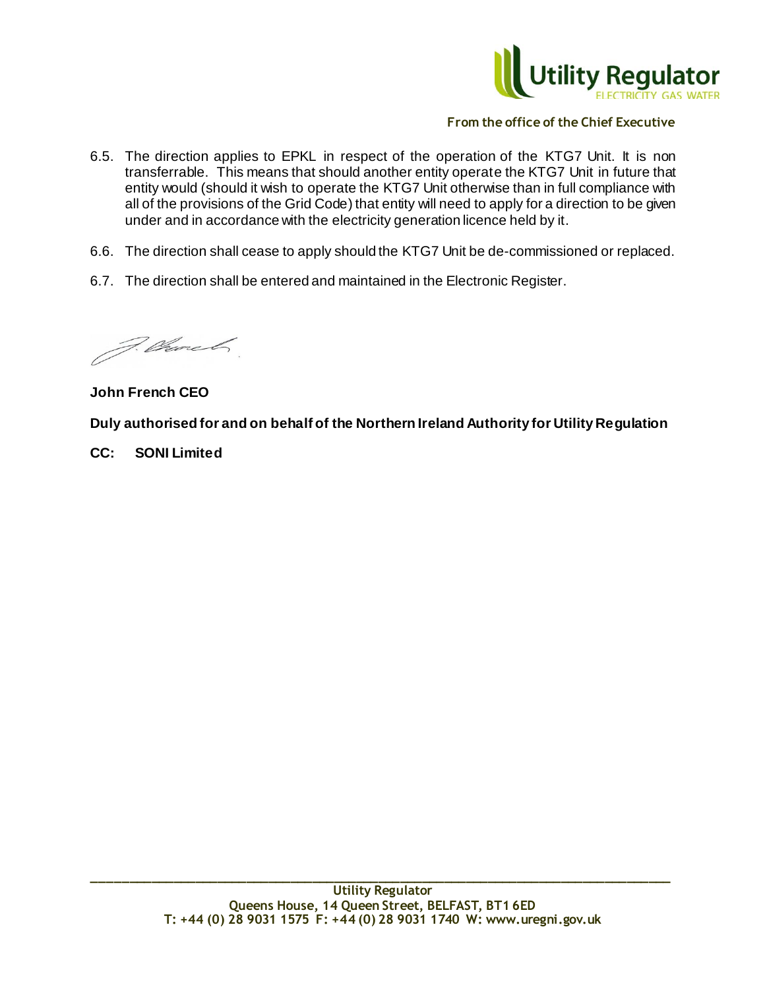

- 6.5. The direction applies to EPKL in respect of the operation of the KTG7 Unit. It is non transferrable. This means that should another entity operate the KTG7 Unit in future that entity would (should it wish to operate the KTG7 Unit otherwise than in full compliance with all of the provisions of the Grid Code) that entity will need to apply for a direction to be given under and in accordance with the electricity generation licence held by it.
- 6.6. The direction shall cease to apply should the KTG7 Unit be de-commissioned or replaced.
- 6.7. The direction shall be entered and maintained in the Electronic Register.

F. Charl

**John French CEO**

**Duly authorised for and on behalf of the Northern Ireland Authority for Utility Regulation**

**CC: SONI Limited**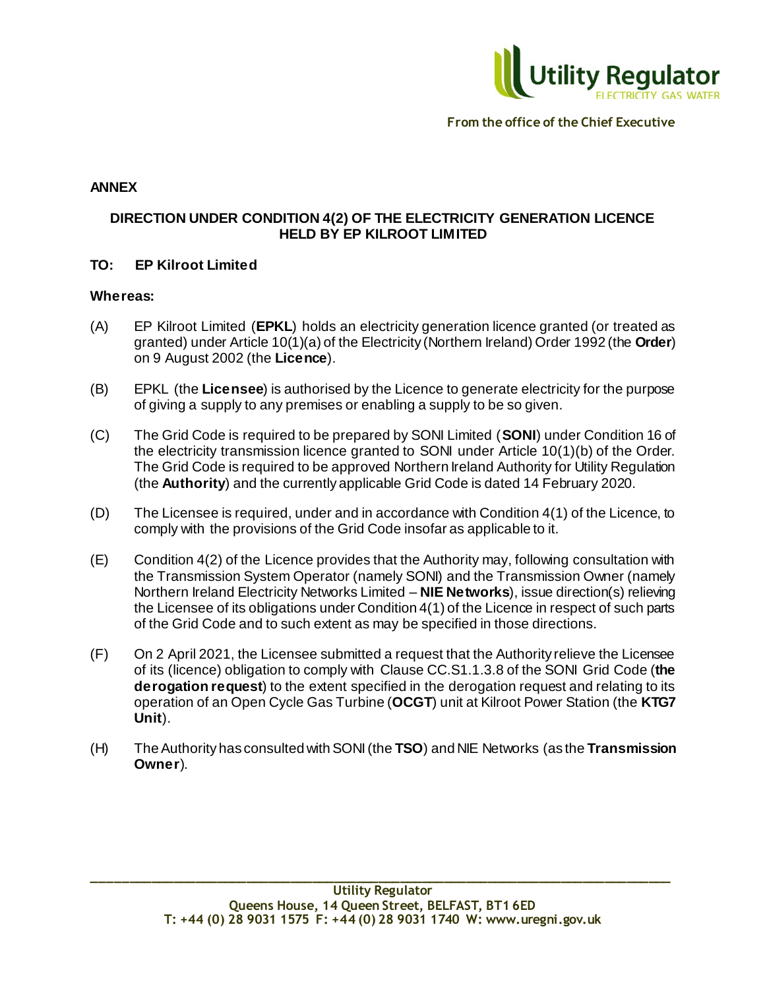

## **ANNEX**

# **DIRECTION UNDER CONDITION 4(2) OF THE ELECTRICITY GENERATION LICENCE HELD BY EP KILROOT LIMITED**

### **TO: EP Kilroot Limited**

#### **Whereas:**

- (A) EP Kilroot Limited (**EPKL**) holds an electricity generation licence granted (or treated as granted) under Article 10(1)(a) of the Electricity (Northern Ireland) Order 1992 (the **Order**) on 9 August 2002 (the **Licence**).
- (B) EPKL (the **Licensee**) is authorised by the Licence to generate electricity for the purpose of giving a supply to any premises or enabling a supply to be so given.
- (C) The Grid Code is required to be prepared by SONI Limited (**SONI**) under Condition 16 of the electricity transmission licence granted to SONI under Article 10(1)(b) of the Order. The Grid Code is required to be approved Northern Ireland Authority for Utility Regulation (the **Authority**) and the currently applicable Grid Code is dated 14 February 2020.
- (D) The Licensee is required, under and in accordance with Condition 4(1) of the Licence, to comply with the provisions of the Grid Code insofar as applicable to it.
- (E) Condition 4(2) of the Licence provides that the Authority may, following consultation with the Transmission System Operator (namely SONI) and the Transmission Owner (namely Northern Ireland Electricity Networks Limited – **NIE Networks**), issue direction(s) relieving the Licensee of its obligations under Condition 4(1) of the Licence in respect of such parts of the Grid Code and to such extent as may be specified in those directions.
- (F) On 2 April 2021, the Licensee submitted a request that the Authority relieve the Licensee of its (licence) obligation to comply with Clause CC.S1.1.3.8 of the SONI Grid Code (**the derogation request**) to the extent specified in the derogation request and relating to its operation of an Open Cycle Gas Turbine (**OCGT**) unit at Kilroot Power Station (the **KTG7 Unit**).
- (H) The Authority has consulted with SONI (the **TSO**) and NIE Networks (as the **Transmission Owner**).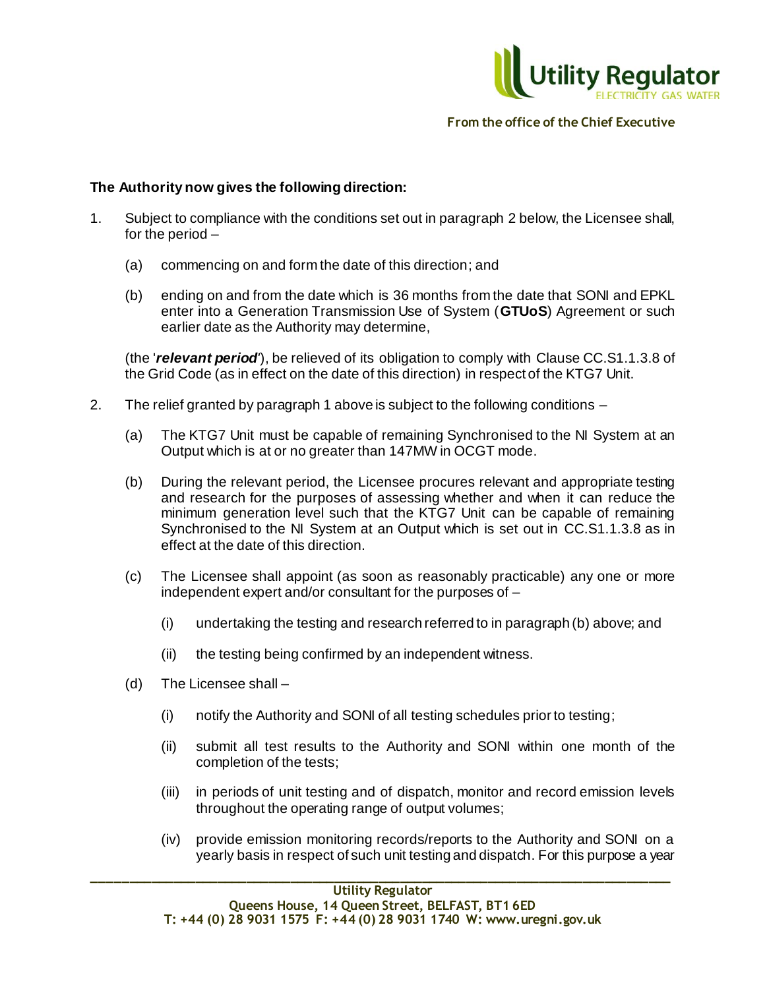

### **The Authority now gives the following direction:**

- 1. Subject to compliance with the conditions set out in paragraph 2 below, the Licensee shall, for the period –
	- (a) commencing on and form the date of this direction; and
	- (b) ending on and from the date which is 36 months from the date that SONI and EPKL enter into a Generation Transmission Use of System (**GTUoS**) Agreement or such earlier date as the Authority may determine,

(the '*relevant period'*), be relieved of its obligation to comply with Clause CC.S1.1.3.8 of the Grid Code (as in effect on the date of this direction) in respect of the KTG7 Unit.

- 2. The relief granted by paragraph 1 above is subject to the following conditions
	- (a) The KTG7 Unit must be capable of remaining Synchronised to the NI System at an Output which is at or no greater than 147MW in OCGT mode.
	- (b) During the relevant period, the Licensee procures relevant and appropriate testing and research for the purposes of assessing whether and when it can reduce the minimum generation level such that the KTG7 Unit can be capable of remaining Synchronised to the NI System at an Output which is set out in CC.S1.1.3.8 as in effect at the date of this direction.
	- (c) The Licensee shall appoint (as soon as reasonably practicable) any one or more independent expert and/or consultant for the purposes of –
		- (i) undertaking the testing and research referred to in paragraph (b) above; and
		- (ii) the testing being confirmed by an independent witness.
	- (d) The Licensee shall
		- (i) notify the Authority and SONI of all testing schedules prior to testing;
		- (ii) submit all test results to the Authority and SONI within one month of the completion of the tests;
		- (iii) in periods of unit testing and of dispatch, monitor and record emission levels throughout the operating range of output volumes;
		- (iv) provide emission monitoring records/reports to the Authority and SONI on a yearly basis in respect of such unit testing and dispatch. For this purpose a year